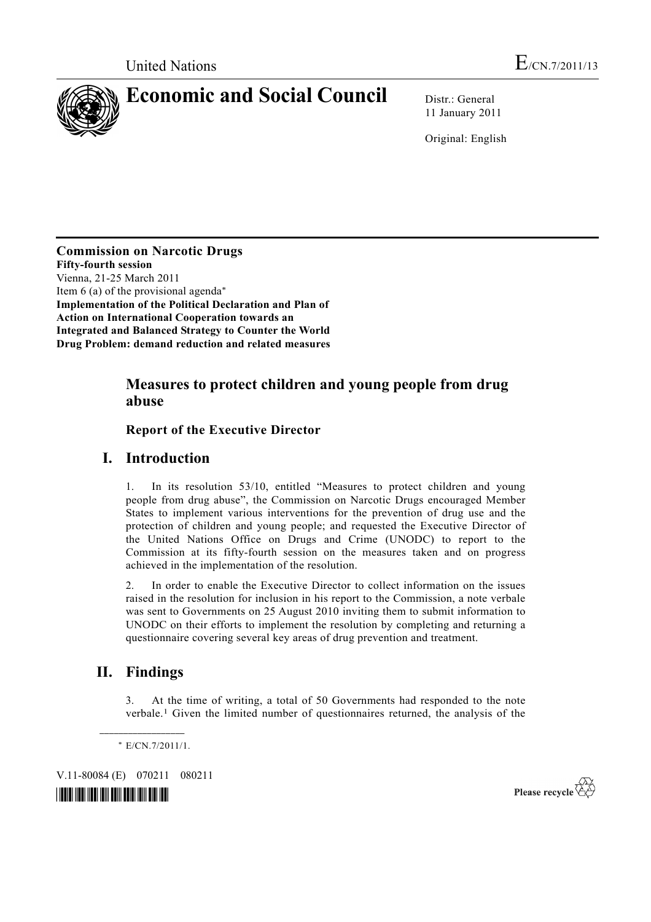

11 January 2011

Original: English

**Commission on Narcotic Drugs Fifty-fourth session**  Vienna, 21-25 March 2011 Item 6 (a) of the provisional agenda\* **Implementation of the Political Declaration and Plan of Action on International Cooperation towards an Integrated and Balanced Strategy to Counter the World Drug Problem: demand reduction and related measures** 

# **Measures to protect children and young people from drug abuse**

 **Report of the Executive Director** 

### **I. Introduction**

1. In its resolution 53/10, entitled "Measures to protect children and young people from drug abuse", the Commission on Narcotic Drugs encouraged Member States to implement various interventions for the prevention of drug use and the protection of children and young people; and requested the Executive Director of the United Nations Office on Drugs and Crime (UNODC) to report to the Commission at its fifty-fourth session on the measures taken and on progress achieved in the implementation of the resolution.

2. In order to enable the Executive Director to collect information on the issues raised in the resolution for inclusion in his report to the Commission, a note verbale was sent to Governments on 25 August 2010 inviting them to submit information to UNODC on their efforts to implement the resolution by completing and returning a questionnaire covering several key areas of drug prevention and treatment.

# **II. Findings**

3. At the time of writing, a total of 50 Governments had responded to the note verbale.1 Given the limited number of questionnaires returned, the analysis of the

\* E/CN.7/2011/1.

**\_\_\_\_\_\_\_\_\_\_\_\_\_\_\_\_\_\_** 

V.11-80084 (E) 070211 080211



Please recycle  $\overleftrightarrow{C}$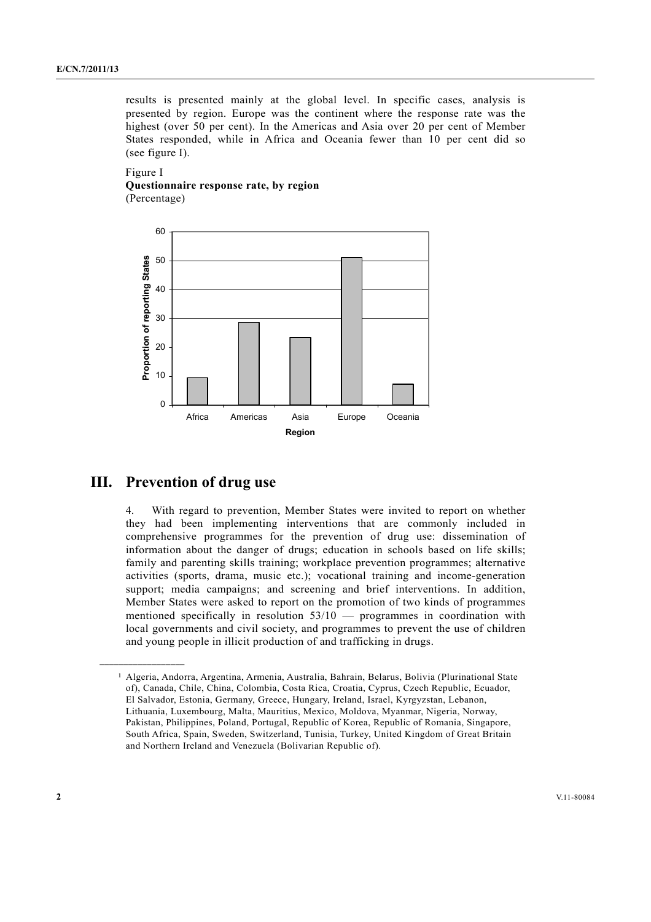results is presented mainly at the global level. In specific cases, analysis is presented by region. Europe was the continent where the response rate was the highest (over 50 per cent). In the Americas and Asia over 20 per cent of Member States responded, while in Africa and Oceania fewer than 10 per cent did so (see figure I).

### Figure I **Questionnaire response rate, by region**  (Percentage)



### **III. Prevention of drug use**

**\_\_\_\_\_\_\_\_\_\_\_\_\_\_\_\_\_\_** 

4. With regard to prevention, Member States were invited to report on whether they had been implementing interventions that are commonly included in comprehensive programmes for the prevention of drug use: dissemination of information about the danger of drugs; education in schools based on life skills; family and parenting skills training; workplace prevention programmes; alternative activities (sports, drama, music etc.); vocational training and income-generation support; media campaigns; and screening and brief interventions. In addition, Member States were asked to report on the promotion of two kinds of programmes mentioned specifically in resolution 53/10 — programmes in coordination with local governments and civil society, and programmes to prevent the use of children and young people in illicit production of and trafficking in drugs.

<sup>1</sup> Algeria, Andorra, Argentina, Armenia, Australia, Bahrain, Belarus, Bolivia (Plurinational State of), Canada, Chile, China, Colombia, Costa Rica, Croatia, Cyprus, Czech Republic, Ecuador, El Salvador, Estonia, Germany, Greece, Hungary, Ireland, Israel, Kyrgyzstan, Lebanon, Lithuania, Luxembourg, Malta, Mauritius, Mexico, Moldova, Myanmar, Nigeria, Norway, Pakistan, Philippines, Poland, Portugal, Republic of Korea, Republic of Romania, Singapore, South Africa, Spain, Sweden, Switzerland, Tunisia, Turkey, United Kingdom of Great Britain and Northern Ireland and Venezuela (Bolivarian Republic of).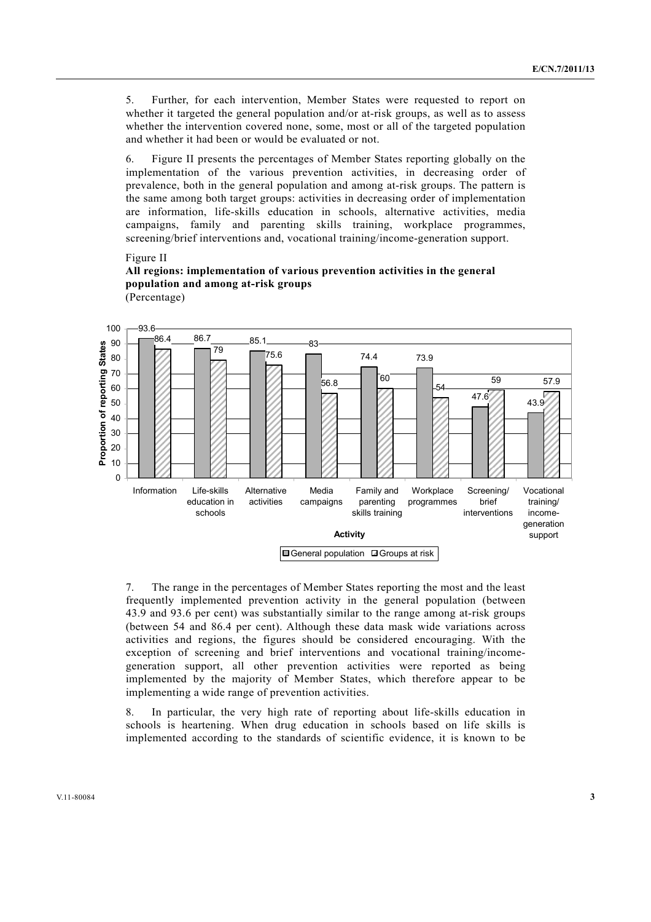5. Further, for each intervention, Member States were requested to report on whether it targeted the general population and/or at-risk groups, as well as to assess whether the intervention covered none, some, most or all of the targeted population and whether it had been or would be evaluated or not.

6. Figure II presents the percentages of Member States reporting globally on the implementation of the various prevention activities, in decreasing order of prevalence, both in the general population and among at-risk groups. The pattern is the same among both target groups: activities in decreasing order of implementation are information, life-skills education in schools, alternative activities, media campaigns, family and parenting skills training, workplace programmes, screening/brief interventions and, vocational training/income-generation support.

Figure II



**All regions: implementation of various prevention activities in the general population and among at-risk groups**  (Percentage)

7. The range in the percentages of Member States reporting the most and the least frequently implemented prevention activity in the general population (between 43.9 and 93.6 per cent) was substantially similar to the range among at-risk groups (between 54 and 86.4 per cent). Although these data mask wide variations across activities and regions, the figures should be considered encouraging. With the exception of screening and brief interventions and vocational training/incomegeneration support, all other prevention activities were reported as being implemented by the majority of Member States, which therefore appear to be implementing a wide range of prevention activities.

8. In particular, the very high rate of reporting about life-skills education in schools is heartening. When drug education in schools based on life skills is implemented according to the standards of scientific evidence, it is known to be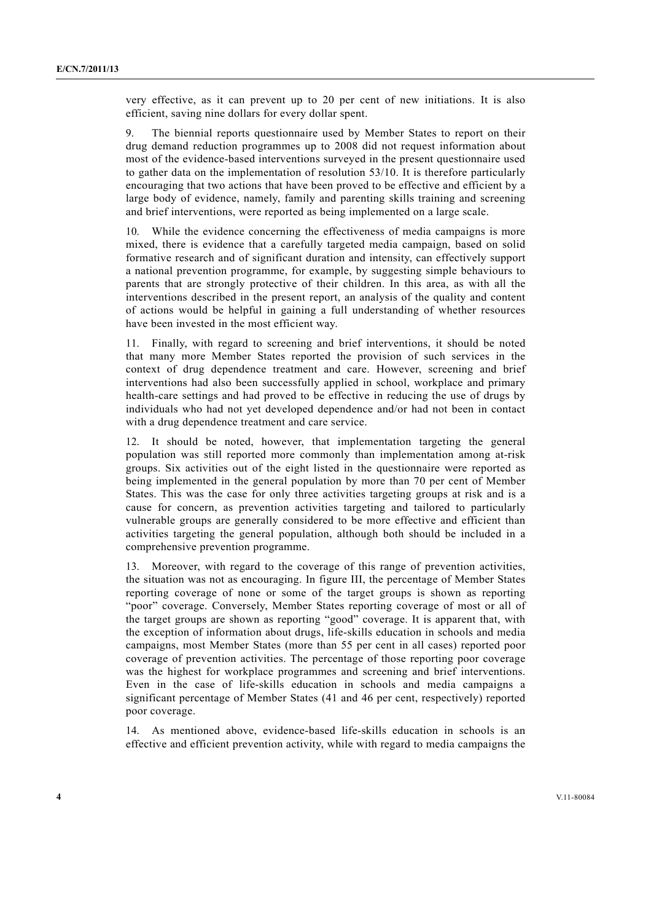very effective, as it can prevent up to 20 per cent of new initiations. It is also efficient, saving nine dollars for every dollar spent.

9. The biennial reports questionnaire used by Member States to report on their drug demand reduction programmes up to 2008 did not request information about most of the evidence-based interventions surveyed in the present questionnaire used to gather data on the implementation of resolution 53/10. It is therefore particularly encouraging that two actions that have been proved to be effective and efficient by a large body of evidence, namely, family and parenting skills training and screening and brief interventions, were reported as being implemented on a large scale.

10. While the evidence concerning the effectiveness of media campaigns is more mixed, there is evidence that a carefully targeted media campaign, based on solid formative research and of significant duration and intensity, can effectively support a national prevention programme, for example, by suggesting simple behaviours to parents that are strongly protective of their children. In this area, as with all the interventions described in the present report, an analysis of the quality and content of actions would be helpful in gaining a full understanding of whether resources have been invested in the most efficient way.

11. Finally, with regard to screening and brief interventions, it should be noted that many more Member States reported the provision of such services in the context of drug dependence treatment and care. However, screening and brief interventions had also been successfully applied in school, workplace and primary health-care settings and had proved to be effective in reducing the use of drugs by individuals who had not yet developed dependence and/or had not been in contact with a drug dependence treatment and care service.

12. It should be noted, however, that implementation targeting the general population was still reported more commonly than implementation among at-risk groups. Six activities out of the eight listed in the questionnaire were reported as being implemented in the general population by more than 70 per cent of Member States. This was the case for only three activities targeting groups at risk and is a cause for concern, as prevention activities targeting and tailored to particularly vulnerable groups are generally considered to be more effective and efficient than activities targeting the general population, although both should be included in a comprehensive prevention programme.

13. Moreover, with regard to the coverage of this range of prevention activities, the situation was not as encouraging. In figure III, the percentage of Member States reporting coverage of none or some of the target groups is shown as reporting "poor" coverage. Conversely, Member States reporting coverage of most or all of the target groups are shown as reporting "good" coverage. It is apparent that, with the exception of information about drugs, life-skills education in schools and media campaigns, most Member States (more than 55 per cent in all cases) reported poor coverage of prevention activities. The percentage of those reporting poor coverage was the highest for workplace programmes and screening and brief interventions. Even in the case of life-skills education in schools and media campaigns a significant percentage of Member States (41 and 46 per cent, respectively) reported poor coverage.

14. As mentioned above, evidence-based life-skills education in schools is an effective and efficient prevention activity, while with regard to media campaigns the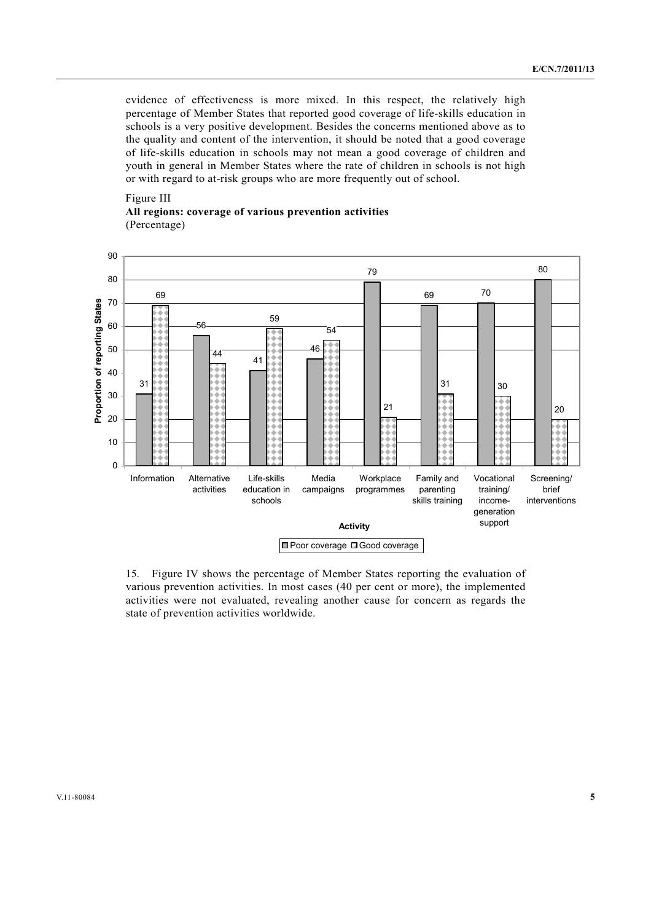evidence of effectiveness is more mixed. In this respect, the relatively high percentage of Member States that reported good coverage of life-skills education in schools is a very positive development. Besides the concerns mentioned above as to the quality and content of the intervention, it should be noted that a good coverage of life-skills education in schools may not mean a good coverage of children and youth in general in Member States where the rate of children in schools is not high or with regard to at-risk groups who are more frequently out of school.

### Figure III **All regions: coverage of various prevention activities**  (Percentage)



15. Figure IV shows the percentage of Member States reporting the evaluation of various prevention activities. In most cases (40 per cent or more), the implemented activities were not evaluated, revealing another cause for concern as regards the state of prevention activities worldwide.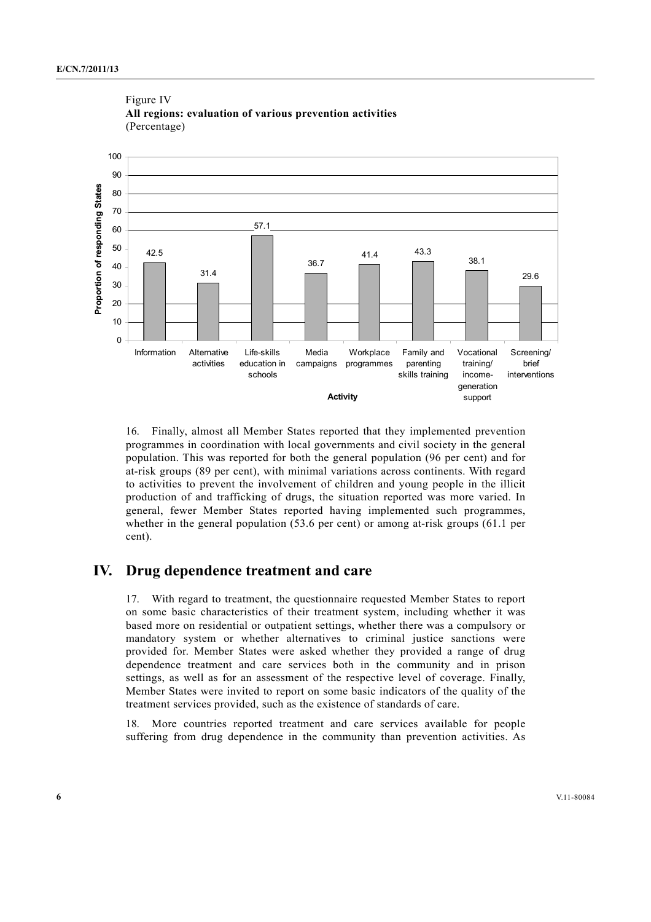

### Figure IV **All regions: evaluation of various prevention activities**  (Percentage)

16. Finally, almost all Member States reported that they implemented prevention programmes in coordination with local governments and civil society in the general population. This was reported for both the general population (96 per cent) and for at-risk groups (89 per cent), with minimal variations across continents. With regard to activities to prevent the involvement of children and young people in the illicit production of and trafficking of drugs, the situation reported was more varied. In general, fewer Member States reported having implemented such programmes, whether in the general population (53.6 per cent) or among at-risk groups (61.1 per cent).

## **IV. Drug dependence treatment and care**

17. With regard to treatment, the questionnaire requested Member States to report on some basic characteristics of their treatment system, including whether it was based more on residential or outpatient settings, whether there was a compulsory or mandatory system or whether alternatives to criminal justice sanctions were provided for. Member States were asked whether they provided a range of drug dependence treatment and care services both in the community and in prison settings, as well as for an assessment of the respective level of coverage. Finally, Member States were invited to report on some basic indicators of the quality of the treatment services provided, such as the existence of standards of care.

18. More countries reported treatment and care services available for people suffering from drug dependence in the community than prevention activities. As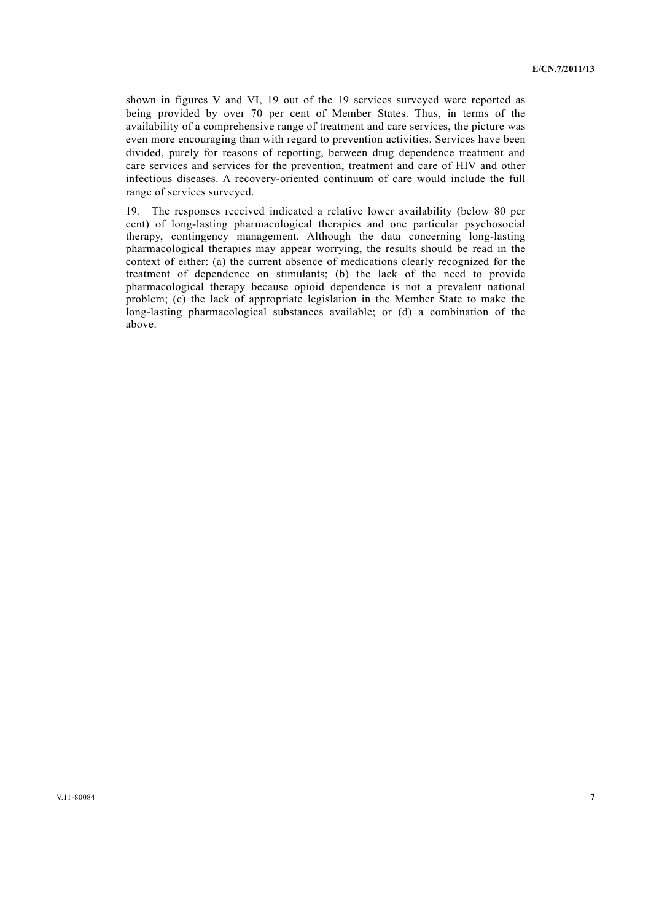shown in figures V and VI, 19 out of the 19 services surveyed were reported as being provided by over 70 per cent of Member States. Thus, in terms of the availability of a comprehensive range of treatment and care services, the picture was even more encouraging than with regard to prevention activities. Services have been divided, purely for reasons of reporting, between drug dependence treatment and care services and services for the prevention, treatment and care of HIV and other infectious diseases. A recovery-oriented continuum of care would include the full range of services surveyed.

19. The responses received indicated a relative lower availability (below 80 per cent) of long-lasting pharmacological therapies and one particular psychosocial therapy, contingency management. Although the data concerning long-lasting pharmacological therapies may appear worrying, the results should be read in the context of either: (a) the current absence of medications clearly recognized for the treatment of dependence on stimulants; (b) the lack of the need to provide pharmacological therapy because opioid dependence is not a prevalent national problem; (c) the lack of appropriate legislation in the Member State to make the long-lasting pharmacological substances available; or (d) a combination of the above.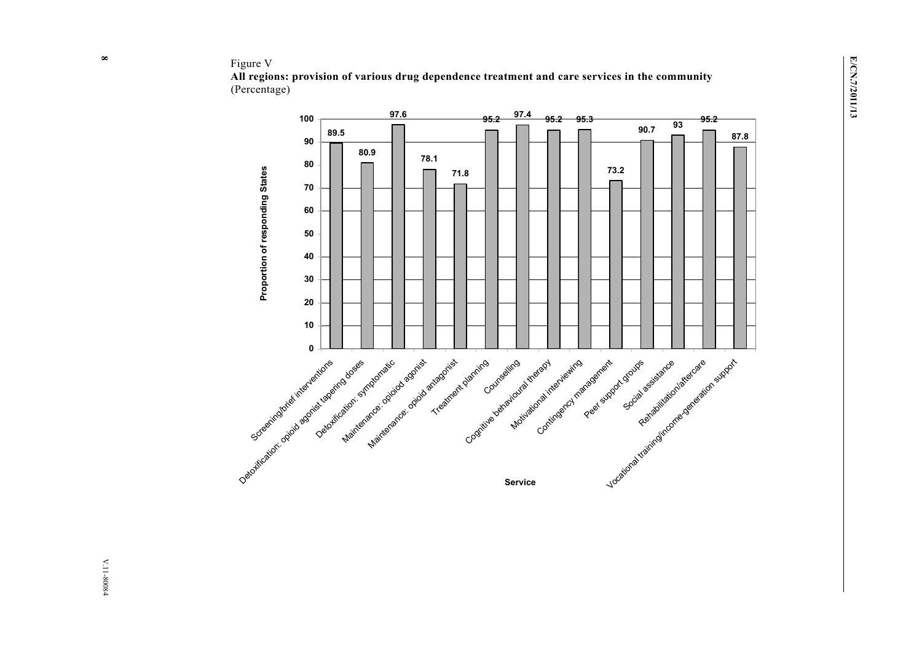### Figure V

**All regions: provision of various drug dependence treatment and care services in the community**  (Percentage)

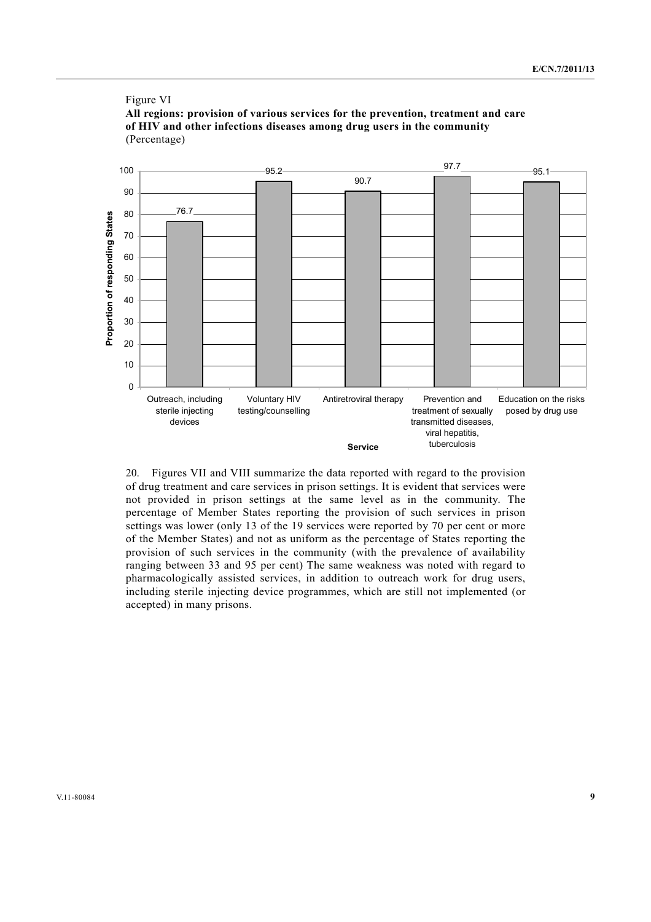



20. Figures VII and VIII summarize the data reported with regard to the provision of drug treatment and care services in prison settings. It is evident that services were not provided in prison settings at the same level as in the community. The percentage of Member States reporting the provision of such services in prison settings was lower (only 13 of the 19 services were reported by 70 per cent or more of the Member States) and not as uniform as the percentage of States reporting the provision of such services in the community (with the prevalence of availability ranging between 33 and 95 per cent) The same weakness was noted with regard to pharmacologically assisted services, in addition to outreach work for drug users, including sterile injecting device programmes, which are still not implemented (or accepted) in many prisons.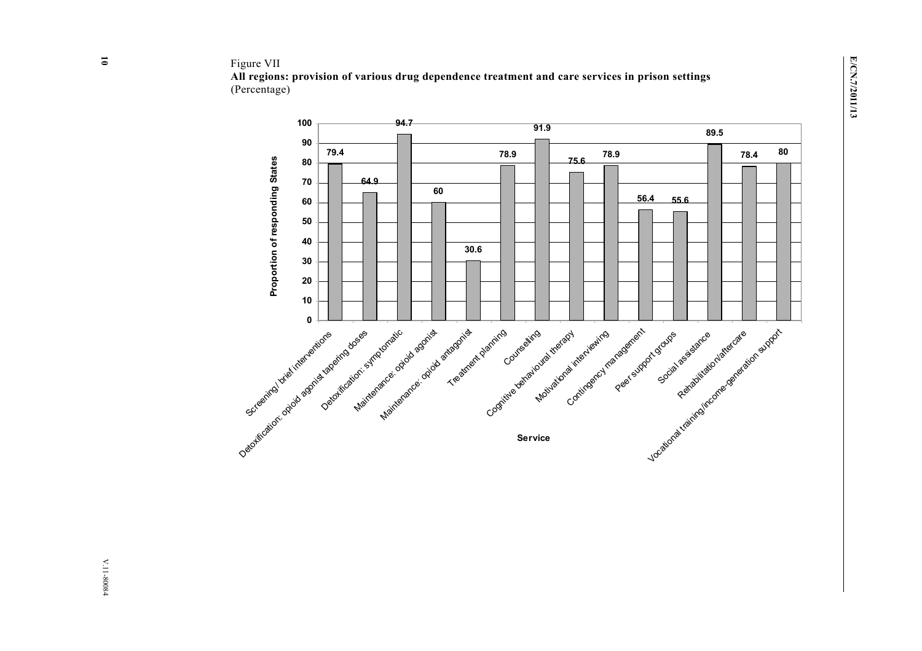### Figure VII

**All regions: provision of various drug dependence treatment and care services in prison settings**  (Percentage)

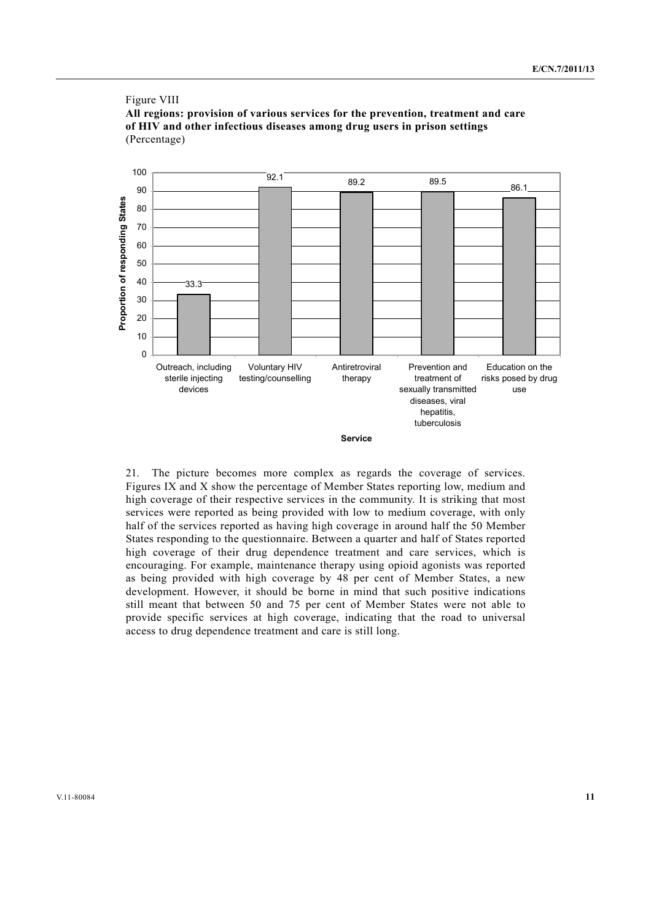

Antiretroviral therapy

**Service**

Prevention and treatment of sexually transmitted diseases, viral hepatitis, tuberculosis

Education on the risks posed by drug use

33.3

Outreach, including sterile injecting devices

Voluntary HIV testing/counselling

21. The picture becomes more complex as regards the coverage of services. Figures IX and X show the percentage of Member States reporting low, medium and high coverage of their respective services in the community. It is striking that most services were reported as being provided with low to medium coverage, with only half of the services reported as having high coverage in around half the 50 Member States responding to the questionnaire. Between a quarter and half of States reported high coverage of their drug dependence treatment and care services, which is encouraging. For example, maintenance therapy using opioid agonists was reported as being provided with high coverage by 48 per cent of Member States, a new development. However, it should be borne in mind that such positive indications still meant that between 50 and 75 per cent of Member States were not able to provide specific services at high coverage, indicating that the road to universal access to drug dependence treatment and care is still long.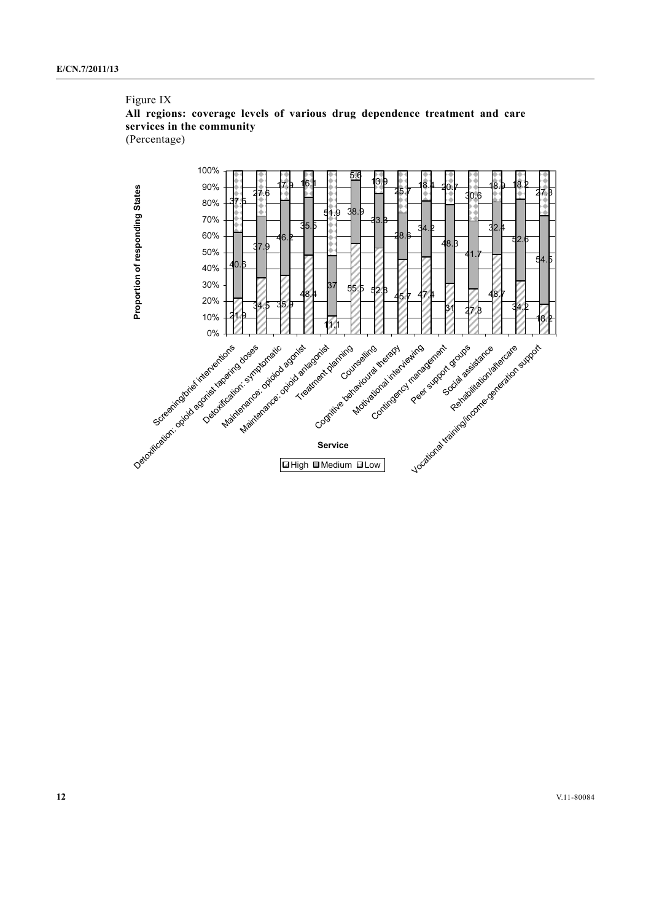### Figure IX





**12** V.11-80084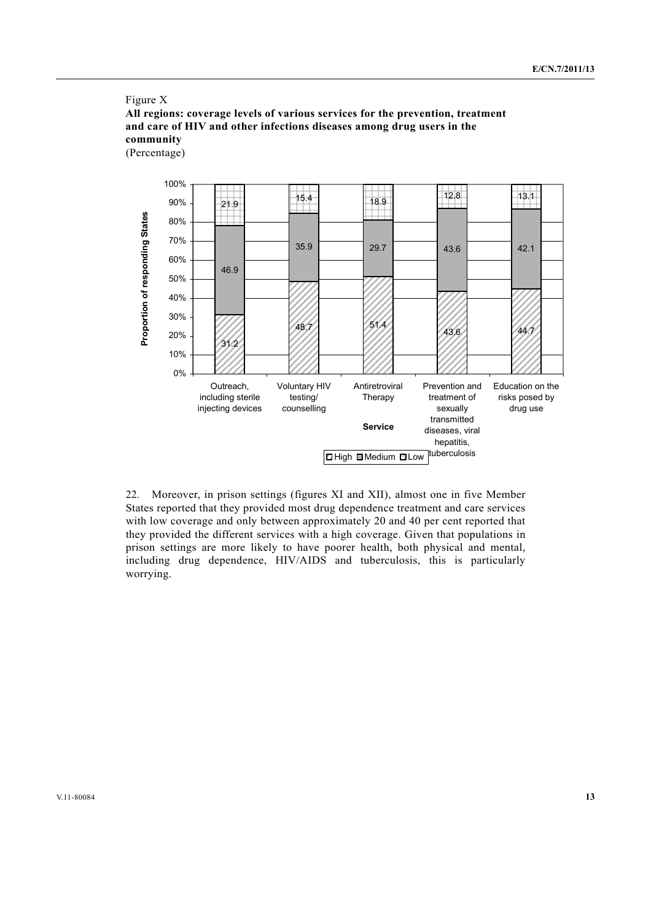

Figure X **All regions: coverage levels of various services for the prevention, treatment and care of HIV and other infections diseases among drug users in the community** 

22. Moreover, in prison settings (figures XI and XII), almost one in five Member States reported that they provided most drug dependence treatment and care services with low coverage and only between approximately 20 and 40 per cent reported that they provided the different services with a high coverage. Given that populations in prison settings are more likely to have poorer health, both physical and mental, including drug dependence, HIV/AIDS and tuberculosis, this is particularly worrying.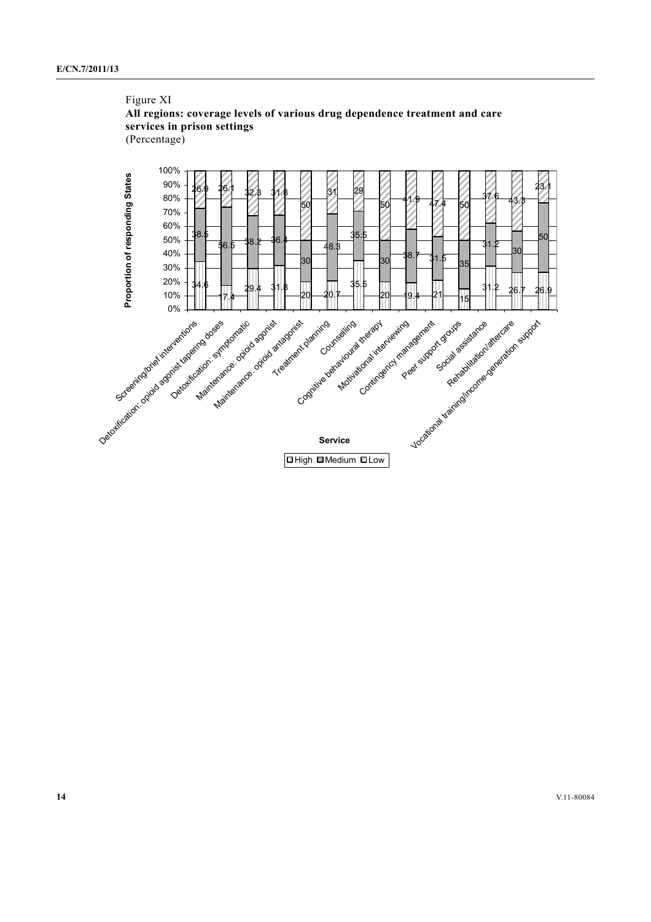### Figure XI **All regions: coverage levels of various drug dependence treatment and care services in prison settings**  (Percentage)



**14** V.11-80084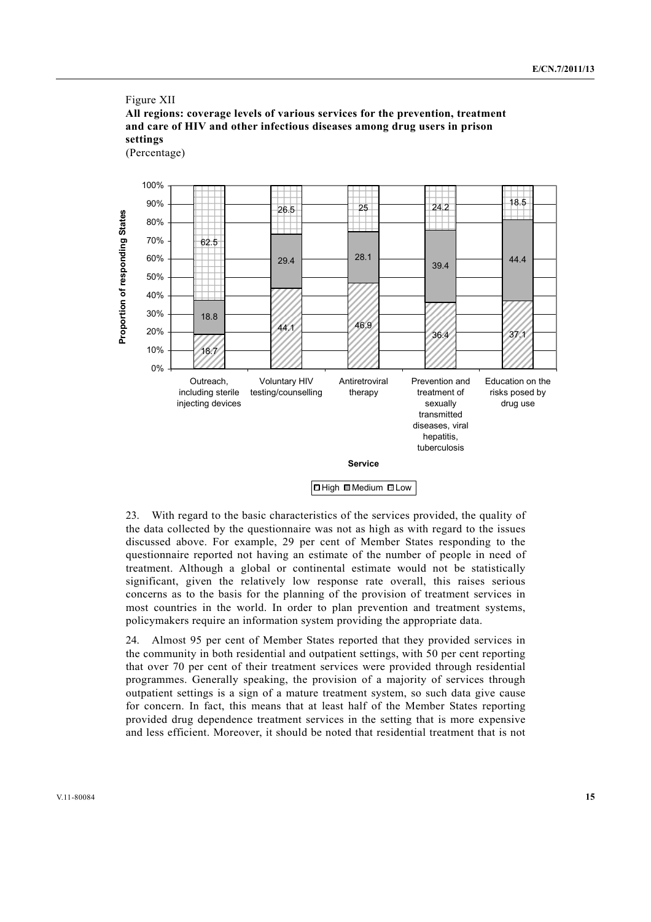

**DHigh OMedium BLow** 

23. With regard to the basic characteristics of the services provided, the quality of the data collected by the questionnaire was not as high as with regard to the issues discussed above. For example, 29 per cent of Member States responding to the questionnaire reported not having an estimate of the number of people in need of treatment. Although a global or continental estimate would not be statistically significant, given the relatively low response rate overall, this raises serious concerns as to the basis for the planning of the provision of treatment services in most countries in the world. In order to plan prevention and treatment systems, policymakers require an information system providing the appropriate data.

24. Almost 95 per cent of Member States reported that they provided services in the community in both residential and outpatient settings, with 50 per cent reporting that over 70 per cent of their treatment services were provided through residential programmes. Generally speaking, the provision of a majority of services through outpatient settings is a sign of a mature treatment system, so such data give cause for concern. In fact, this means that at least half of the Member States reporting provided drug dependence treatment services in the setting that is more expensive and less efficient. Moreover, it should be noted that residential treatment that is not

#### V.11-80084 **15**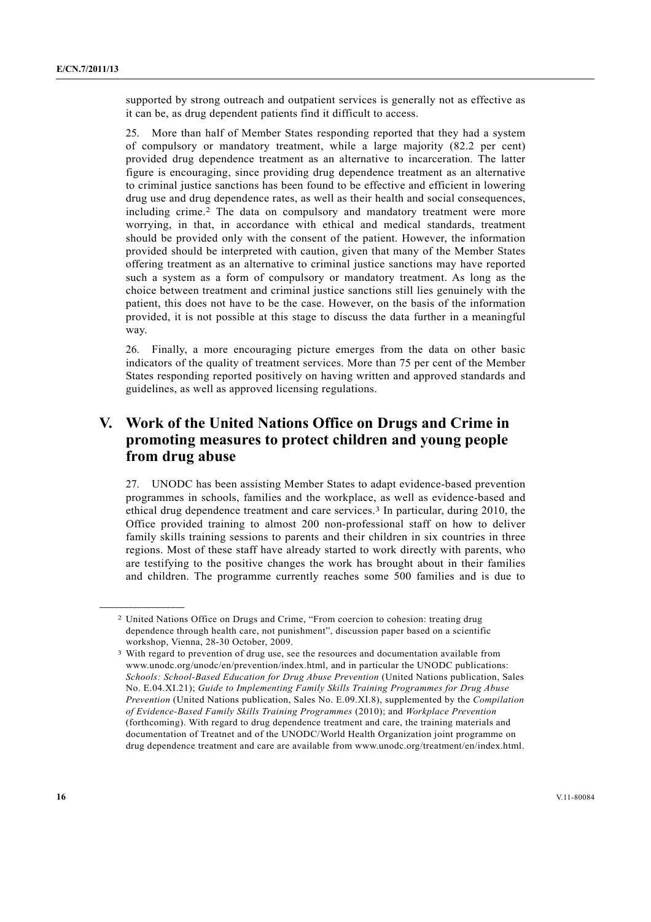supported by strong outreach and outpatient services is generally not as effective as it can be, as drug dependent patients find it difficult to access.

25. More than half of Member States responding reported that they had a system of compulsory or mandatory treatment, while a large majority (82.2 per cent) provided drug dependence treatment as an alternative to incarceration. The latter figure is encouraging, since providing drug dependence treatment as an alternative to criminal justice sanctions has been found to be effective and efficient in lowering drug use and drug dependence rates, as well as their health and social consequences, including crime.2 The data on compulsory and mandatory treatment were more worrying, in that, in accordance with ethical and medical standards, treatment should be provided only with the consent of the patient. However, the information provided should be interpreted with caution, given that many of the Member States offering treatment as an alternative to criminal justice sanctions may have reported such a system as a form of compulsory or mandatory treatment. As long as the choice between treatment and criminal justice sanctions still lies genuinely with the patient, this does not have to be the case. However, on the basis of the information provided, it is not possible at this stage to discuss the data further in a meaningful way.

26. Finally, a more encouraging picture emerges from the data on other basic indicators of the quality of treatment services. More than 75 per cent of the Member States responding reported positively on having written and approved standards and guidelines, as well as approved licensing regulations.

# **V. Work of the United Nations Office on Drugs and Crime in promoting measures to protect children and young people from drug abuse**

27. UNODC has been assisting Member States to adapt evidence-based prevention programmes in schools, families and the workplace, as well as evidence-based and ethical drug dependence treatment and care services.3 In particular, during 2010, the Office provided training to almost 200 non-professional staff on how to deliver family skills training sessions to parents and their children in six countries in three regions. Most of these staff have already started to work directly with parents, who are testifying to the positive changes the work has brought about in their families and children. The programme currently reaches some 500 families and is due to

**\_\_\_\_\_\_\_\_\_\_\_\_\_\_\_\_\_\_** 

<sup>2</sup> United Nations Office on Drugs and Crime, "From coercion to cohesion: treating drug dependence through health care, not punishment", discussion paper based on a scientific workshop, Vienna, 28-30 October, 2009.

<sup>3</sup> With regard to prevention of drug use, see the resources and documentation available from www.unodc.org/unodc/en/prevention/index.html, and in particular the UNODC publications: *Schools: School-Based Education for Drug Abuse Prevention* (United Nations publication, Sales No. E.04.XI.21); *Guide to Implementing Family Skills Training Programmes for Drug Abuse Prevention* (United Nations publication, Sales No. E.09.XI.8), supplemented by the *Compilation of Evidence-Based Family Skills Training Programmes* (2010); and *Workplace Prevention* (forthcoming). With regard to drug dependence treatment and care, the training materials and documentation of Treatnet and of the UNODC/World Health Organization joint programme on drug dependence treatment and care are available from www.unodc.org/treatment/en/index.html.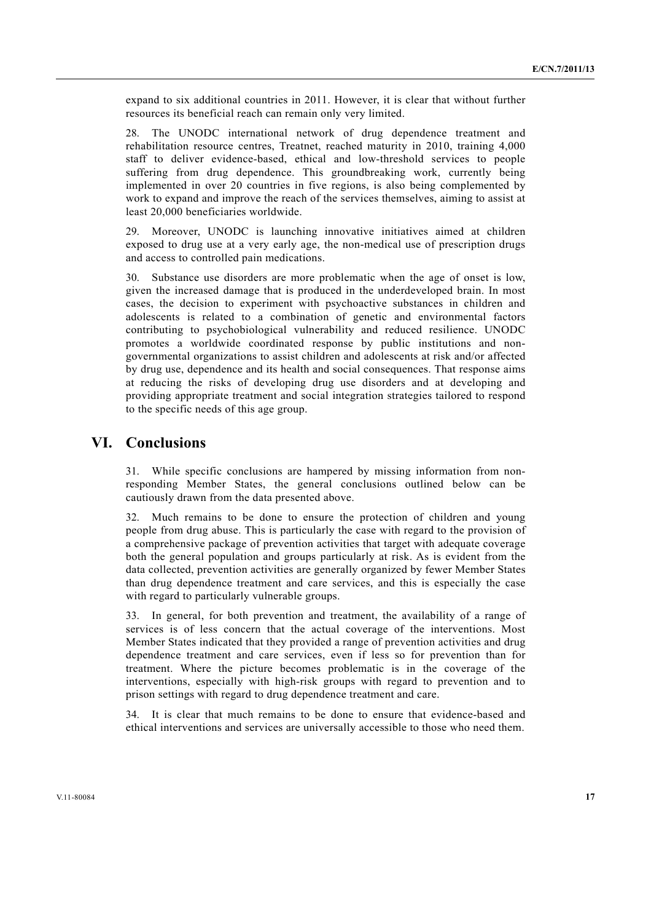expand to six additional countries in 2011. However, it is clear that without further resources its beneficial reach can remain only very limited.

28. The UNODC international network of drug dependence treatment and rehabilitation resource centres, Treatnet, reached maturity in 2010, training 4,000 staff to deliver evidence-based, ethical and low-threshold services to people suffering from drug dependence. This groundbreaking work, currently being implemented in over 20 countries in five regions, is also being complemented by work to expand and improve the reach of the services themselves, aiming to assist at least 20,000 beneficiaries worldwide.

29. Moreover, UNODC is launching innovative initiatives aimed at children exposed to drug use at a very early age, the non-medical use of prescription drugs and access to controlled pain medications.

30. Substance use disorders are more problematic when the age of onset is low, given the increased damage that is produced in the underdeveloped brain. In most cases, the decision to experiment with psychoactive substances in children and adolescents is related to a combination of genetic and environmental factors contributing to psychobiological vulnerability and reduced resilience. UNODC promotes a worldwide coordinated response by public institutions and nongovernmental organizations to assist children and adolescents at risk and/or affected by drug use, dependence and its health and social consequences. That response aims at reducing the risks of developing drug use disorders and at developing and providing appropriate treatment and social integration strategies tailored to respond to the specific needs of this age group.

# **VI. Conclusions**

31. While specific conclusions are hampered by missing information from nonresponding Member States, the general conclusions outlined below can be cautiously drawn from the data presented above.

32. Much remains to be done to ensure the protection of children and young people from drug abuse. This is particularly the case with regard to the provision of a comprehensive package of prevention activities that target with adequate coverage both the general population and groups particularly at risk. As is evident from the data collected, prevention activities are generally organized by fewer Member States than drug dependence treatment and care services, and this is especially the case with regard to particularly vulnerable groups.

33. In general, for both prevention and treatment, the availability of a range of services is of less concern that the actual coverage of the interventions. Most Member States indicated that they provided a range of prevention activities and drug dependence treatment and care services, even if less so for prevention than for treatment. Where the picture becomes problematic is in the coverage of the interventions, especially with high-risk groups with regard to prevention and to prison settings with regard to drug dependence treatment and care.

34. It is clear that much remains to be done to ensure that evidence-based and ethical interventions and services are universally accessible to those who need them.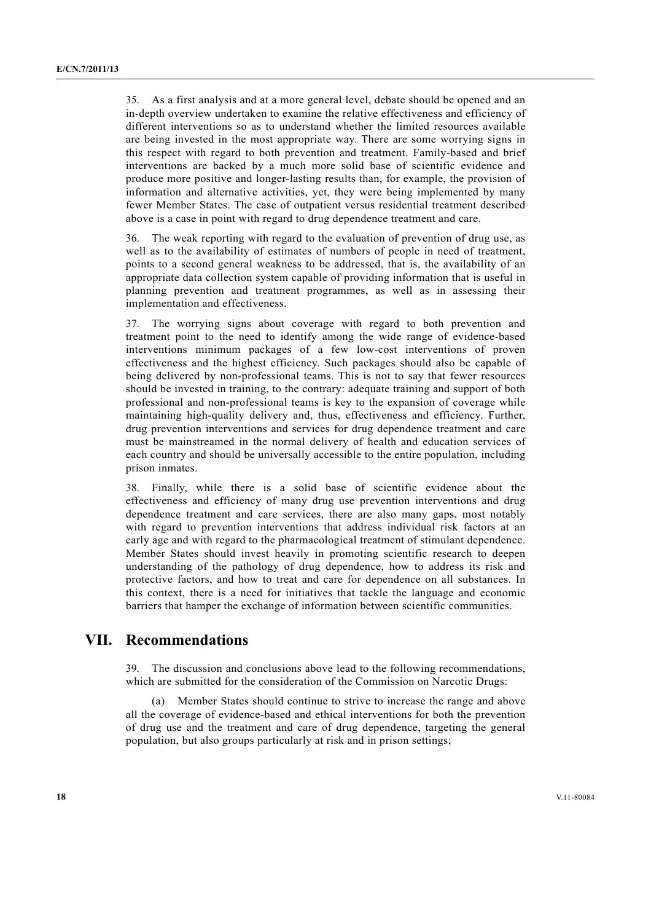35. As a first analysis and at a more general level, debate should be opened and an in-depth overview undertaken to examine the relative effectiveness and efficiency of different interventions so as to understand whether the limited resources available are being invested in the most appropriate way. There are some worrying signs in this respect with regard to both prevention and treatment. Family-based and brief interventions are backed by a much more solid base of scientific evidence and produce more positive and longer-lasting results than, for example, the provision of information and alternative activities, yet, they were being implemented by many fewer Member States. The case of outpatient versus residential treatment described above is a case in point with regard to drug dependence treatment and care.

36. The weak reporting with regard to the evaluation of prevention of drug use, as well as to the availability of estimates of numbers of people in need of treatment, points to a second general weakness to be addressed, that is, the availability of an appropriate data collection system capable of providing information that is useful in planning prevention and treatment programmes, as well as in assessing their implementation and effectiveness.

37. The worrying signs about coverage with regard to both prevention and treatment point to the need to identify among the wide range of evidence-based interventions minimum packages of a few low-cost interventions of proven effectiveness and the highest efficiency. Such packages should also be capable of being delivered by non-professional teams. This is not to say that fewer resources should be invested in training, to the contrary: adequate training and support of both professional and non-professional teams is key to the expansion of coverage while maintaining high-quality delivery and, thus, effectiveness and efficiency. Further, drug prevention interventions and services for drug dependence treatment and care must be mainstreamed in the normal delivery of health and education services of each country and should be universally accessible to the entire population, including prison inmates.

38. Finally, while there is a solid base of scientific evidence about the effectiveness and efficiency of many drug use prevention interventions and drug dependence treatment and care services, there are also many gaps, most notably with regard to prevention interventions that address individual risk factors at an early age and with regard to the pharmacological treatment of stimulant dependence. Member States should invest heavily in promoting scientific research to deepen understanding of the pathology of drug dependence, how to address its risk and protective factors, and how to treat and care for dependence on all substances. In this context, there is a need for initiatives that tackle the language and economic barriers that hamper the exchange of information between scientific communities.

## **VII. Recommendations**

39. The discussion and conclusions above lead to the following recommendations, which are submitted for the consideration of the Commission on Narcotic Drugs:

 (a) Member States should continue to strive to increase the range and above all the coverage of evidence-based and ethical interventions for both the prevention of drug use and the treatment and care of drug dependence, targeting the general population, but also groups particularly at risk and in prison settings;